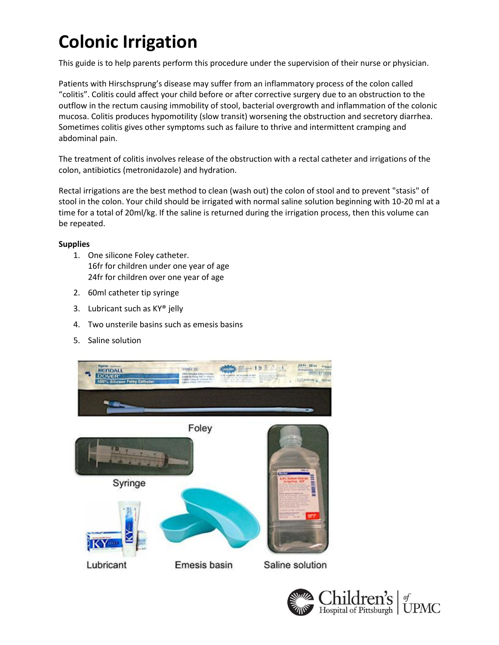# **Colonic Irrigation**

This guide is to help parents perform this procedure under the supervision of their nurse or physician.

Patients with Hirschsprung's disease may suffer from an inflammatory process of the colon called "colitis". Colitis could affect your child before or after corrective surgery due to an obstruction to the outflow in the rectum causing immobility of stool, bacterial overgrowth and inflammation of the colonic mucosa. Colitis produces hypomotility (slow transit) worsening the obstruction and secretory diarrhea. Sometimes colitis gives other symptoms such as failure to thrive and intermittent cramping and abdominal pain.

The treatment of colitis involves release of the obstruction with a rectal catheter and irrigations of the colon, antibiotics (metronidazole) and hydration.

Rectal irrigations are the best method to clean (wash out) the colon of stool and to prevent "stasis" of stool in the colon. Your child should be irrigated with normal saline solution beginning with 10-20 ml at a time for a total of 20ml/kg. If the saline is returned during the irrigation process, then this volume can be repeated.

# **Supplies**

- 1. One silicone Foley catheter. 16fr for children under one year of age 24fr for children over one year of age
- 2. 60ml catheter tip syringe
- 3. Lubricant such as KY® jelly
- 4. Two unsterile basins such as emesis basins
- 5. Saline solution



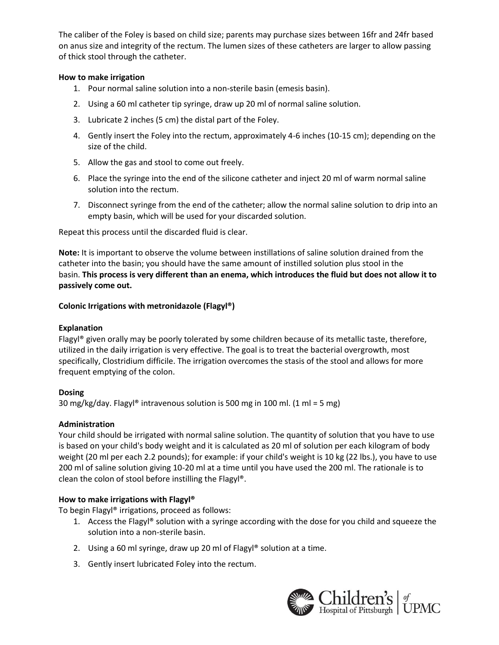The caliber of the Foley is based on child size; parents may purchase sizes between 16fr and 24fr based on anus size and integrity of the rectum. The lumen sizes of these catheters are larger to allow passing of thick stool through the catheter.

# **How to make irrigation**

- 1. Pour normal saline solution into a non-sterile basin (emesis basin).
- 2. Using a 60 ml catheter tip syringe, draw up 20 ml of normal saline solution.
- 3. Lubricate 2 inches (5 cm) the distal part of the Foley.
- 4. Gently insert the Foley into the rectum, approximately 4-6 inches (10-15 cm); depending on the size of the child.
- 5. Allow the gas and stool to come out freely.
- 6. Place the syringe into the end of the silicone catheter and inject 20 ml of warm normal saline solution into the rectum.
- 7. Disconnect syringe from the end of the catheter; allow the normal saline solution to drip into an empty basin, which will be used for your discarded solution.

Repeat this process until the discarded fluid is clear.

**Note:** It is important to observe the volume between instillations of saline solution drained from the catheter into the basin; you should have the same amount of instilled solution plus stool in the basin. **This process is very different than an enema, which introduces the fluid but does not allow it to passively come out.**

# **Colonic Irrigations with metronidazole (Flagyl®)**

#### **Explanation**

Flagyl® given orally may be poorly tolerated by some children because of its metallic taste, therefore, utilized in the daily irrigation is very effective. The goal is to treat the bacterial overgrowth, most specifically, Clostridium difficile. The irrigation overcomes the stasis of the stool and allows for more frequent emptying of the colon.

#### **Dosing**

30 mg/kg/day. Flagyl® intravenous solution is 500 mg in 100 ml. (1 ml = 5 mg)

#### **Administration**

Your child should be irrigated with normal saline solution. The quantity of solution that you have to use is based on your child's body weight and it is calculated as 20 ml of solution per each kilogram of body weight (20 ml per each 2.2 pounds); for example: if your child's weight is 10 kg (22 lbs.), you have to use 200 ml of saline solution giving 10-20 ml at a time until you have used the 200 ml. The rationale is to clean the colon of stool before instilling the Flagyl®.

# **How to make irrigations with Flagyl®**

To begin Flagyl® irrigations, proceed as follows:

- 1. Access the Flagyl® solution with a syringe according with the dose for you child and squeeze the solution into a non-sterile basin.
- 2. Using a 60 ml syringe, draw up 20 ml of Flagyl® solution at a time.
- 3. Gently insert lubricated Foley into the rectum.